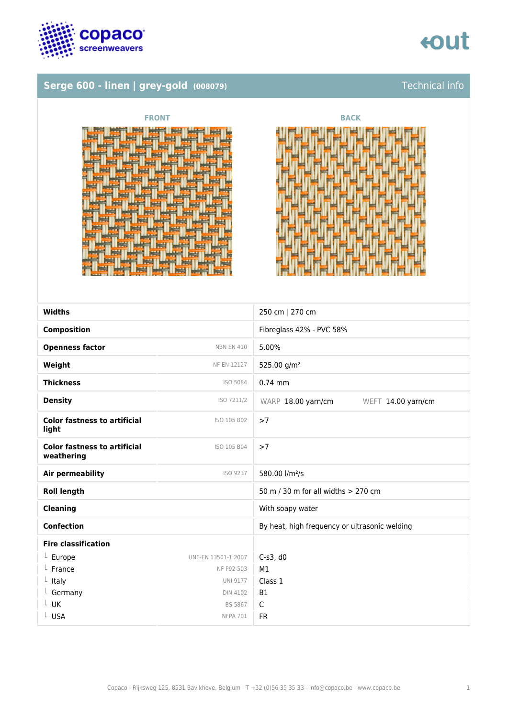

# tout

## **Serge 600 - linen | grey-gold (008079)** Technical info





| <b>Widths</b>                                     |                     | 250 cm   270 cm                               |
|---------------------------------------------------|---------------------|-----------------------------------------------|
| <b>Composition</b>                                |                     | Fibreglass 42% - PVC 58%                      |
| <b>Openness factor</b>                            | <b>NBN EN 410</b>   | 5.00%                                         |
| Weight                                            | <b>NF EN 12127</b>  | 525.00 g/m <sup>2</sup>                       |
| <b>Thickness</b>                                  | ISO 5084            | $0.74$ mm                                     |
| <b>Density</b>                                    | ISO 7211/2          | WARP 18.00 yarn/cm<br>WEFT 14.00 yarn/cm      |
| <b>Color fastness to artificial</b><br>light      | ISO 105 B02         | >7                                            |
| <b>Color fastness to artificial</b><br>weathering | ISO 105 B04         | >7                                            |
| <b>Air permeability</b>                           | ISO 9237            | 580.00 l/m <sup>2</sup> /s                    |
| <b>Roll length</b>                                |                     | 50 m / 30 m for all widths > 270 cm           |
| <b>Cleaning</b>                                   |                     | With soapy water                              |
| <b>Confection</b>                                 |                     | By heat, high frequency or ultrasonic welding |
| <b>Fire classification</b>                        |                     |                                               |
| $L$ Europe                                        | UNE-EN 13501-1:2007 | $C-S3$ , d $0$                                |
| France                                            | NF P92-503          | M1                                            |
| $L$ Italy                                         | <b>UNI 9177</b>     | Class 1                                       |
| L Germany                                         | <b>DIN 4102</b>     | <b>B1</b>                                     |
| L UK                                              | <b>BS 5867</b>      | C                                             |
| L USA                                             | <b>NFPA 701</b>     | <b>FR</b>                                     |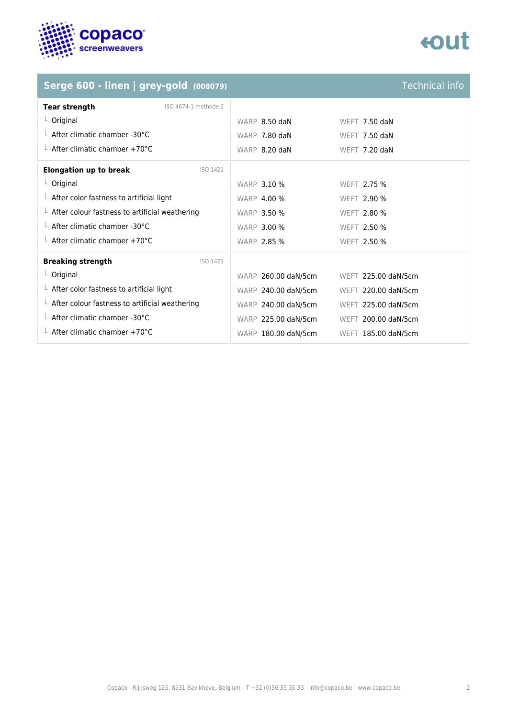

# tout

## **Serge 600 - linen | grey-gold** (008079)

| <b>Technical info</b> |  |  |
|-----------------------|--|--|
|                       |  |  |
|                       |  |  |
|                       |  |  |

| <b>Tear strength</b><br>ISO 4674-1 methode 2           |                     |                     |  |
|--------------------------------------------------------|---------------------|---------------------|--|
| $L$ Original                                           | WARP 8.50 daN       | WEFT $7.50$ daN     |  |
| $\perp$ After climatic chamber -30°C                   | WARP 7.80 daN       | WEFT 7.50 daN       |  |
| $\perp$ After climatic chamber +70°C                   | WARP 8.20 daN       | WEFT 7.20 daN       |  |
| <b>Elongation up to break</b><br>ISO 1421              |                     |                     |  |
| $L$ Original                                           | <b>WARP 3.10 %</b>  | WEFT 2.75 %         |  |
| $\perp$ After color fastness to artificial light       | <b>WARP 4.00 %</b>  | <b>WEFT 2.90 %</b>  |  |
| $\perp$ After colour fastness to artificial weathering | <b>WARP 3.50 %</b>  | <b>WEFT 2.80 %</b>  |  |
| $\perp$ After climatic chamber -30°C                   | <b>WARP 3.00 %</b>  | <b>WEFT 2.50 %</b>  |  |
| $\perp$ After climatic chamber +70°C                   | <b>WARP 2.85 %</b>  | WEFT 2.50 %         |  |
| <b>Breaking strength</b><br>ISO 1421                   |                     |                     |  |
| $L$ Original                                           | WARP 260.00 daN/5cm | WEFT 225.00 daN/5cm |  |
| $\perp$ After color fastness to artificial light       | WARP 240.00 daN/5cm | WEFT 220.00 daN/5cm |  |
| $\perp$ After colour fastness to artificial weathering | WARP 240.00 daN/5cm | WEFT 225.00 daN/5cm |  |
| L After climatic chamber -30°C                         | WARP 225.00 daN/5cm | WEFT 200.00 daN/5cm |  |
| $\perp$ After climatic chamber +70°C                   | WARP 180.00 daN/5cm | WEFT 185.00 daN/5cm |  |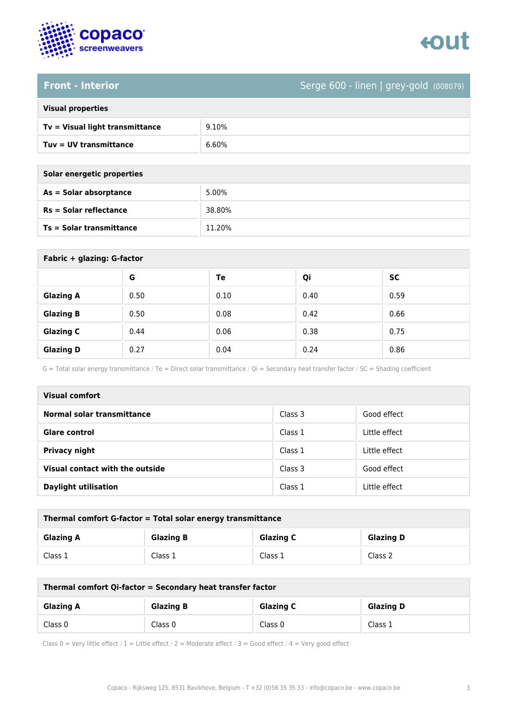



## **Front - Interior** Serge 600 - linen | grey-gold (008079)

| <b>Visual properties</b> |
|--------------------------|
|                          |

| Tv = Visual light transmittance | 9.10% |
|---------------------------------|-------|
| Tuv = UV transmittance          | 6.60% |

**As = Solar absorptance** 5.00%

**Rs = Solar reflectance** 38.80%

| Solar energetic properties |  |
|----------------------------|--|
| As = Solar absorptance     |  |
| $Rs = Solar$ reflectance   |  |
|                            |  |

| <b>Ts = Solar transmittance</b> |      | 11.20% |      |           |
|---------------------------------|------|--------|------|-----------|
|                                 |      |        |      |           |
| Fabric + glazing: G-factor      |      |        |      |           |
|                                 | G    | Te     | Qi   | <b>SC</b> |
| <b>Glazing A</b>                | 0.50 | 0.10   | 0.40 | 0.59      |
| <b>Glazing B</b>                | 0.50 | 0.08   | 0.42 | 0.66      |
| <b>Glazing C</b>                | 0.44 | 0.06   | 0.38 | 0.75      |

G = Total solar energy transmittance / Te = Direct solar transmittance / Qi = Secondary heat transfer factor / SC = Shading coefficient

**Glazing D** 0.27 0.04 0.24 0.86

| <b>Visual comfort</b>           |         |               |
|---------------------------------|---------|---------------|
| Normal solar transmittance      | Class 3 | Good effect   |
| <b>Glare control</b>            | Class 1 | Little effect |
| <b>Privacy night</b>            | Class 1 | Little effect |
| Visual contact with the outside | Class 3 | Good effect   |
| <b>Daylight utilisation</b>     | Class 1 | Little effect |

| Thermal comfort G-factor = Total solar energy transmittance |                  |                  |                  |
|-------------------------------------------------------------|------------------|------------------|------------------|
| <b>Glazing A</b>                                            | <b>Glazing B</b> | <b>Glazing C</b> | <b>Glazing D</b> |
| Class 1                                                     | Class 1          | Class 1          | Class 2          |

| Thermal comfort Qi-factor = Secondary heat transfer factor |                  |                  |                  |
|------------------------------------------------------------|------------------|------------------|------------------|
| <b>Glazing A</b>                                           | <b>Glazing B</b> | <b>Glazing C</b> | <b>Glazing D</b> |
| Class 0                                                    | Class 0          | Class 0          | Class 1          |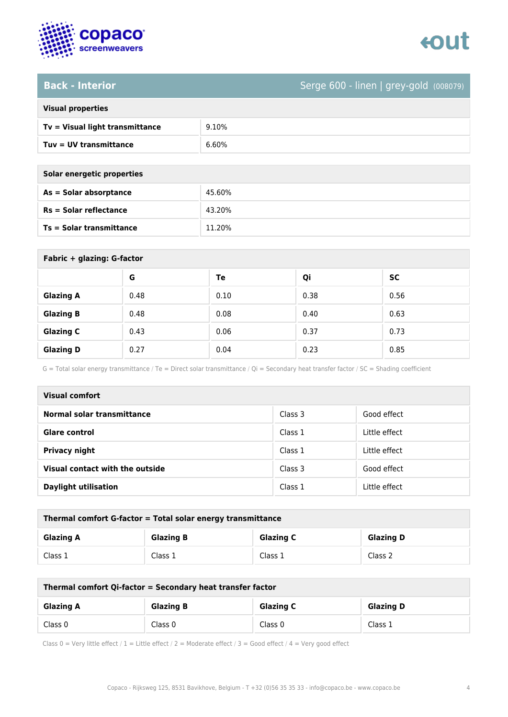



### **Back - Interior** Serge 600 - linen | grey-gold (008079)

| <b>Visual properties</b>        |      |
|---------------------------------|------|
| Ty - Vicual liebt transmittanse | 0.10 |

**Ts = Solar transmittance** 11.20%

| Tv = Visual light transmittance | 9.10% |
|---------------------------------|-------|
| $Tuv = UV$ transmittance        | 6.60% |

| Solar energetic properties |        |
|----------------------------|--------|
| $As = Solar absorption$    | 45.60% |
| $Rs = Solar$ reflectance   | 43.20% |

| Fabric + glazing: G-factor |      |      |      |           |
|----------------------------|------|------|------|-----------|
|                            | G    | Te   | Qi   | <b>SC</b> |
| <b>Glazing A</b>           | 0.48 | 0.10 | 0.38 | 0.56      |
| <b>Glazing B</b>           | 0.48 | 0.08 | 0.40 | 0.63      |
| <b>Glazing C</b>           | 0.43 | 0.06 | 0.37 | 0.73      |
| <b>Glazing D</b>           | 0.27 | 0.04 | 0.23 | 0.85      |

G = Total solar energy transmittance / Te = Direct solar transmittance / Qi = Secondary heat transfer factor / SC = Shading coefficient

| Visual comfort                  |         |               |
|---------------------------------|---------|---------------|
| Normal solar transmittance      | Class 3 | Good effect   |
| <b>Glare control</b>            | Class 1 | Little effect |
| <b>Privacy night</b>            | Class 1 | Little effect |
| Visual contact with the outside | Class 3 | Good effect   |
| <b>Daylight utilisation</b>     | Class 1 | Little effect |

| Thermal comfort G-factor = Total solar energy transmittance |                  |                  |                  |
|-------------------------------------------------------------|------------------|------------------|------------------|
| <b>Glazing A</b>                                            | <b>Glazing B</b> | <b>Glazing C</b> | <b>Glazing D</b> |
| Class 1                                                     | Class 1          | Class 1          | Class 2          |

| Thermal comfort Qi-factor = Secondary heat transfer factor |                  |                  |                  |
|------------------------------------------------------------|------------------|------------------|------------------|
| <b>Glazing A</b>                                           | <b>Glazing B</b> | <b>Glazing C</b> | <b>Glazing D</b> |
| Class 0                                                    | Class 0          | Class 0          | Class 1          |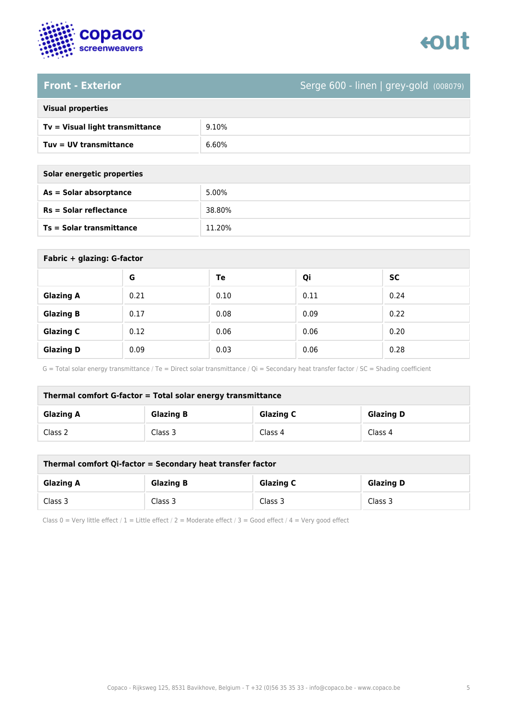

# tout

### **Front - Exterior** Serge 600 - linen | grey-gold (008079)

| <b>Visual properties</b>        |       |
|---------------------------------|-------|
| Tv = Visual light transmittance | 9.10% |
| Tuv = UV transmittance          | 6.60% |
|                                 |       |

| Solar energetic properties |        |
|----------------------------|--------|
| As = Solar absorptance     | 5.00%  |
| $Rs = Solar$ reflectance   | 38.80% |
| Ts = Solar transmittance   | 11.20% |

| Fabric + glazing: G-factor |      |      |      |      |
|----------------------------|------|------|------|------|
|                            | G    | Te   | Qi   | SC   |
| <b>Glazing A</b>           | 0.21 | 0.10 | 0.11 | 0.24 |
| <b>Glazing B</b>           | 0.17 | 0.08 | 0.09 | 0.22 |
| <b>Glazing C</b>           | 0.12 | 0.06 | 0.06 | 0.20 |
| <b>Glazing D</b>           | 0.09 | 0.03 | 0.06 | 0.28 |

G = Total solar energy transmittance / Te = Direct solar transmittance / Qi = Secondary heat transfer factor / SC = Shading coefficient

| Thermal comfort G-factor = Total solar energy transmittance |                  |                  |                  |
|-------------------------------------------------------------|------------------|------------------|------------------|
| <b>Glazing A</b>                                            | <b>Glazing B</b> | <b>Glazing C</b> | <b>Glazing D</b> |
| Class 2                                                     | Class 3          | Class 4          | Class 4          |

| Thermal comfort Qi-factor = Secondary heat transfer factor |                  |                  |                  |
|------------------------------------------------------------|------------------|------------------|------------------|
| <b>Glazing A</b>                                           | <b>Glazing B</b> | <b>Glazing C</b> | <b>Glazing D</b> |
| Class 3                                                    | Class 3          | Class 3          | Class 3          |